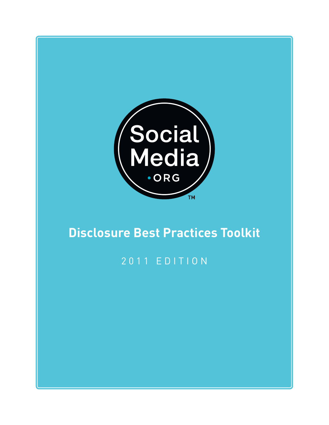

# **Disclosure Best Practices Toolkit**

## 2 0 1 1 E D I T I O N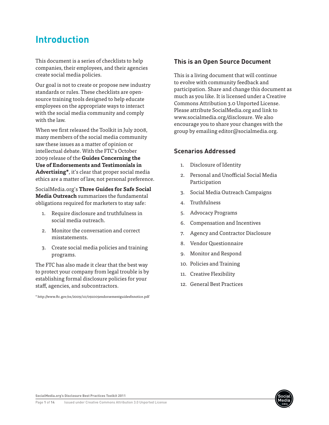### **Introduction**

This document is a series of checklists to help companies, their employees, and their agencies create social media policies.

Our goal is not to create or propose new industry standards or rules. These checklists are opensource training tools designed to help educate employees on the appropriate ways to interact with the social media community and comply with the law.

When we first released the Toolkit in July 2008, many members of the social media community saw these issues as a matter of opinion or intellectual debate. With the FTC's October 2009 release of the **Guides Concerning the Use of Endorsements and Testimonials in Advertising\***, it's clear that proper social media ethics are a matter of law, not personal preference.

SocialMedia.org's **Three Guides for Safe Social Media Outreach** summarizes the fundamental obligations required for marketers to stay safe:

- 1. Require disclosure and truthfulness in social media outreach.
- 2. Monitor the conversation and correct misstatements.
- 3. Create social media policies and training programs.

The FTC has also made it clear that the best way to protect your company from legal trouble is by establishing formal disclosure policies for your staff, agencies, and subcontractors.

\* http://www.ftc.gov/os/2009/10/091005endorsementguidesfnnotice.pdf

#### **This is an Open Source Document**

This is a living document that will continue to evolve with community feedback and participation. Share and change this document as much as you like. It is licensed under a Creative Commons Attribution 3.0 Unported License. Please attribute SocialMedia.org and link to www.socialmedia.org/disclosure. We also encourage you to share your changes with the group by emailing editor@socialmedia.org.

#### **Scenarios Addressed**

- 1. Disclosure of Identity
- 2. Personal and Unofficial Social Media Participation
- 3. Social Media Outreach Campaigns
- 4. Truthfulness
- 5. Advocacy Programs
- 6. Compensation and Incentives
- 7. Agency and Contractor Disclosure
- 8. Vendor Questionnaire
- 9. Monitor and Respond
- 10. Policies and Training
- 11. Creative Flexibility
- 12. General Best Practices

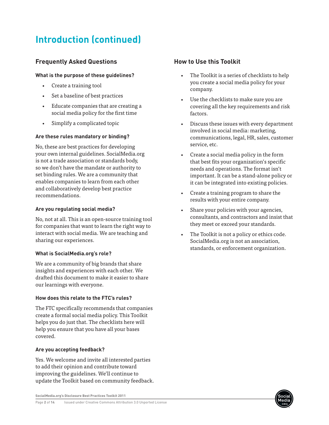## **Introduction (continued)**

### **Frequently Asked Questions**

#### **What is the purpose of these guidelines?**

- • Create a training tool
- Set a baseline of best practices
- Educate companies that are creating a social media policy for the first time
- • Simplify a complicated topic

#### **Are these rules mandatory or binding?**

No, these are best practices for developing your own internal guidelines. SocialMedia.org is not a trade association or standards body, so we don't have the mandate or authority to set binding rules. We are a community that enables companies to learn from each other and collaboratively develop best practice recommendations.

#### **Are you regulating social media?**

No, not at all. This is an open-source training tool for companies that want to learn the right way to interact with social media. We are teaching and sharing our experiences.

#### **What is SocialMedia.org's role?**

We are a community of big brands that share insights and experiences with each other. We drafted this document to make it easier to share our learnings with everyone.

#### **How does this relate to the FTC's rules?**

The FTC specifically recommends that companies create a formal social media policy. This Toolkit helps you do just that. The checklists here will help you ensure that you have all your bases covered.

#### **Are you accepting feedback?**

Yes. We welcome and invite all interested parties to add their opinion and contribute toward improving the guidelines. We'll continue to update the Toolkit based on community feedback.

### service, etc.

Create a social media policy in the form that best fits your organization's specific needs and operations. The format isn't important. It can be a stand-alone policy or it can be integrated into existing policies.

The Toolkit is a series of checklists to help you create a social media policy for your

covering all the key requirements and risk

Discuss these issues with every department

communications, legal, HR, sales, customer

• Use the checklists to make sure you are

involved in social media: marketing,

• Create a training program to share the results with your entire company.

**How to Use this Toolkit**

company.

factors.

- • Share your policies with your agencies, consultants, and contractors and insist that they meet or exceed your standards.
- The Toolkit is not a policy or ethics code. SocialMedia.org is not an association, standards, or enforcement organization.

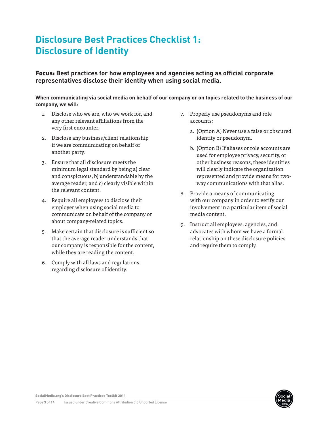## **Disclosure Best Practices Checklist 1: Disclosure of Identity**

Focus: **Best practices for how employees and agencies acting as official corporate representatives disclose their identity when using social media.**

**When communicating via social media on behalf of our company or on topics related to the business of our company, we will:** 

- 1. Disclose who we are, who we work for, and any other relevant affiliations from the very first encounter.
- 2. Disclose any business/client relationship if we are communicating on behalf of another party.
- 3. Ensure that all disclosure meets the minimum legal standard by being a) clear and conspicuous, b) understandable by the average reader, and c) clearly visible within the relevant content.
- 4. Require all employees to disclose their employer when using social media to communicate on behalf of the company or about company-related topics.
- 5. Make certain that disclosure is sufficient so that the average reader understands that our company is responsible for the content, while they are reading the content.
- 6. Comply with all laws and regulations regarding disclosure of identity.
- 7. Properly use pseudonyms and role accounts:
	- a. (Option A) Never use a false or obscured identity or pseudonym.
	- b. (Option B) If aliases or role accounts are used for employee privacy, security, or other business reasons, these identities will clearly indicate the organization represented and provide means for twoway communications with that alias.
- 8. Provide a means of communicating with our company in order to verify our involvement in a particular item of social media content.
- 9. Instruct all employees, agencies, and advocates with whom we have a formal relationship on these disclosure policies and require them to comply.

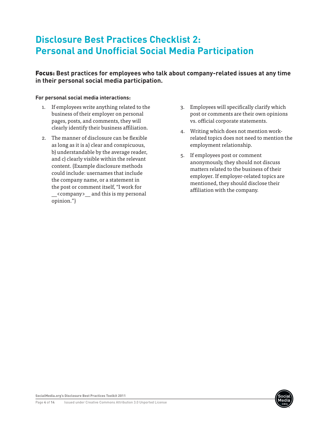### **Disclosure Best Practices Checklist 2: Personal and Unofficial Social Media Participation**

### Focus: **Best practices for employees who talk about company-related issues at any time in their personal social media participation.**

#### **For personal social media interactions:**

- 1. If employees write anything related to the business of their employer on personal pages, posts, and comments, they will clearly identify their business affiliation.
- 2. The manner of disclosure can be flexible as long as it is a) clear and conspicuous, b) understandable by the average reader, and c) clearly visible within the relevant content. (Example disclosure methods could include: usernames that include the company name, or a statement in the post or comment itself, "I work for \_\_<company>\_\_ and this is my personal opinion.")
- 3. Employees will specifically clarify which post or comments are their own opinions vs. official corporate statements.
- 4. Writing which does not mention workrelated topics does not need to mention the employment relationship.
- 5. If employees post or comment anonymously, they should not discuss matters related to the business of their employer. If employer-related topics are mentioned, they should disclose their affiliation with the company.

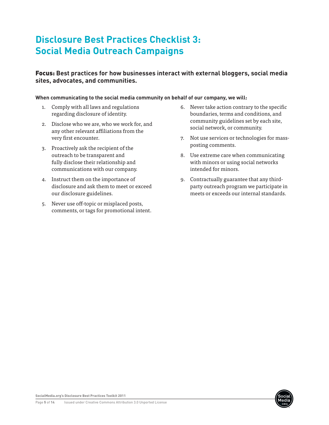## **Disclosure Best Practices Checklist 3: Social Media Outreach Campaigns**

### Focus: **Best practices for how businesses interact with external bloggers, social media sites, advocates, and communities.**

#### **When communicating to the social media community on behalf of our company, we will:**

- 1. Comply with all laws and regulations regarding disclosure of identity.
- 2. Disclose who we are, who we work for, and any other relevant affiliations from the very first encounter.
- 3. Proactively ask the recipient of the outreach to be transparent and fully disclose their relationship and communications with our company.
- 4. Instruct them on the importance of disclosure and ask them to meet or exceed our disclosure guidelines.
- 5. Never use off-topic or misplaced posts, comments, or tags for promotional intent.
- 6. Never take action contrary to the specific boundaries, terms and conditions, and community guidelines set by each site, social network, or community.
- 7. Not use services or technologies for massposting comments.
- 8. Use extreme care when communicating with minors or using social networks intended for minors.
- 9. Contractually guarantee that any thirdparty outreach program we participate in meets or exceeds our internal standards.

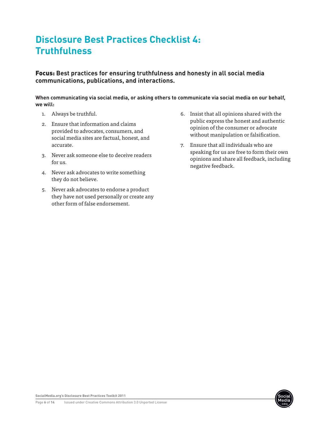## **Disclosure Best Practices Checklist 4: Truthfulness**

Focus: **Best practices for ensuring truthfulness and honesty in all social media communications, publications, and interactions.** 

**When communicating via social media, or asking others to communicate via social media on our behalf, we will:**

- 1. Always be truthful.
- 2. Ensure that information and claims provided to advocates, consumers, and social media sites are factual, honest, and accurate.
- 3. Never ask someone else to deceive readers for us.
- 4. Never ask advocates to write something they do not believe.
- 5. Never ask advocates to endorse a product they have not used personally or create any other form of false endorsement.
- 6. Insist that all opinions shared with the public express the honest and authentic opinion of the consumer or advocate without manipulation or falsification.
- 7. Ensure that all individuals who are speaking for us are free to form their own opinions and share all feedback, including negative feedback.

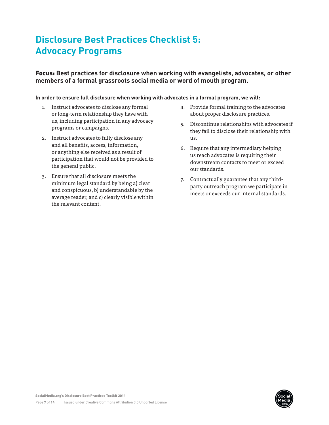## **Disclosure Best Practices Checklist 5: Advocacy Programs**

### Focus: **Best practices for disclosure when working with evangelists, advocates, or other members of a formal grassroots social media or word of mouth program.**

#### **In order to ensure full disclosure when working with advocates in a formal program, we will:**

- 1. Instruct advocates to disclose any formal or long-term relationship they have with us, including participation in any advocacy programs or campaigns.
- 2. Instruct advocates to fully disclose any and all benefits, access, information, or anything else received as a result of participation that would not be provided to the general public.
- 3. Ensure that all disclosure meets the minimum legal standard by being a) clear and conspicuous, b) understandable by the average reader, and c) clearly visible within the relevant content.
- 4. Provide formal training to the advocates about proper disclosure practices.
- 5. Discontinue relationships with advocates if they fail to disclose their relationship with us.
- 6. Require that any intermediary helping us reach advocates is requiring their downstream contacts to meet or exceed our standards.
- 7. Contractually guarantee that any thirdparty outreach program we participate in meets or exceeds our internal standards.

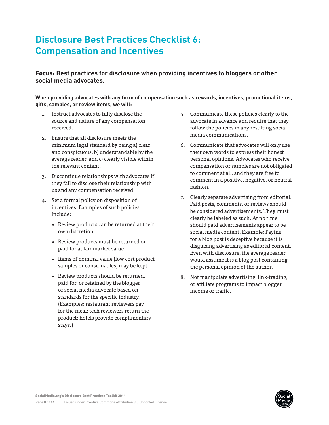## **Disclosure Best Practices Checklist 6: Compensation and Incentives**

Focus: **Best practices for disclosure when providing incentives to bloggers or other social media advocates.**

**When providing advocates with any form of compensation such as rewards, incentives, promotional items, gifts, samples, or review items, we will:**

- 1. Instruct advocates to fully disclose the source and nature of any compensation received.
- 2. Ensure that all disclosure meets the minimum legal standard by being a) clear and conspicuous, b) understandable by the average reader, and c) clearly visible within the relevant content.
- 3. Discontinue relationships with advocates if they fail to disclose their relationship with us and any compensation received.
- 4. Set a formal policy on disposition of incentives. Examples of such policies include:
	- • Review products can be returned at their own discretion.
	- • Review products must be returned or paid for at fair market value.
	- Items of nominal value (low cost product samples or consumables) may be kept.
	- Review products should be returned. paid for, or retained by the blogger or social media advocate based on standards for the specific industry. (Examples: restaurant reviewers pay for the meal; tech reviewers return the product; hotels provide complimentary stays.)
- 5. Communicate these policies clearly to the advocate in advance and require that they follow the policies in any resulting social media communications.
- 6. Communicate that advocates will only use their own words to express their honest personal opinions. Advocates who receive compensation or samples are not obligated to comment at all, and they are free to comment in a positive, negative, or neutral fashion.
- 7. Clearly separate advertising from editorial. Paid posts, comments, or reviews should be considered advertisements. They must clearly be labeled as such. At no time should paid advertisements appear to be social media content. Example: Paying for a blog post is deceptive because it is disguising advertising as editorial content. Even with disclosure, the average reader would assume it is a blog post containing the personal opinion of the author.
- 8. Not manipulate advertising, link-trading, or affiliate programs to impact blogger income or traffic.

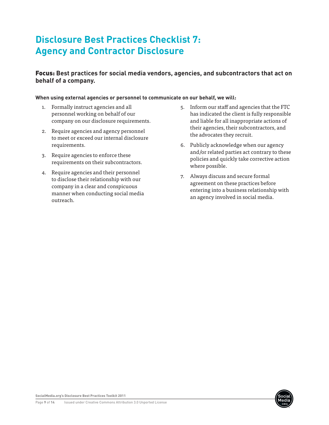## **Disclosure Best Practices Checklist 7: Agency and Contractor Disclosure**

### Focus: **Best practices for social media vendors, agencies, and subcontractors that act on behalf of a company.**

#### **When using external agencies or personnel to communicate on our behalf, we will:**

- 1. Formally instruct agencies and all personnel working on behalf of our company on our disclosure requirements.
- 2. Require agencies and agency personnel to meet or exceed our internal disclosure requirements.
- 3. Require agencies to enforce these requirements on their subcontractors.
- 4. Require agencies and their personnel to disclose their relationship with our company in a clear and conspicuous manner when conducting social media outreach.
- 5. Inform our staff and agencies that the FTC has indicated the client is fully responsible and liable for all inappropriate actions of their agencies, their subcontractors, and the advocates they recruit.
- 6. Publicly acknowledge when our agency and/or related parties act contrary to these policies and quickly take corrective action where possible.
- 7. Always discuss and secure formal agreement on these practices before entering into a business relationship with an agency involved in social media.

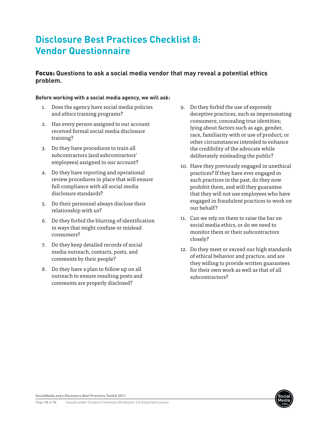### **Disclosure Best Practices Checklist 8: Vendor Questionnaire**

### Focus: **Questions to ask a social media vendor that may reveal a potential ethics problem.**

#### **Before working with a social media agency, we will ask:**

- 1. Does the agency have social media policies and ethics training programs?
- 2. Has every person assigned to our account received formal social media disclosure training?
- 3. Do they have procedures to train all subcontractors (and subcontractors' employees) assigned to our account?
- 4. Do they have reporting and operational review procedures in place that will ensure full compliance with all social media disclosure standards?
- 5. Do their personnel always disclose their relationship with us?
- 6. Do they forbid the blurring of identification in ways that might confuse or mislead consumers?
- 7. Do they keep detailed records of social media outreach, contacts, posts, and comments by their people?
- 8. Do they have a plan to follow up on all outreach to ensure resulting posts and comments are properly disclosed?
- 9. Do they forbid the use of expressly deceptive practices, such as impersonating consumers; concealing true identities; lying about factors such as age, gender, race, familiarity with or use of product; or other circumstances intended to enhance the credibility of the advocate while deliberately misleading the public?
- 10. Have they previously engaged in unethical practices? If they have ever engaged in such practices in the past, do they now prohibit them, and will they guarantee that they will not use employees who have engaged in fraudulent practices to work on our behalf?
- 11. Can we rely on them to raise the bar on social media ethics, or do we need to monitor them or their subcontractors closely?
- 12. Do they meet or exceed our high standards of ethical behavior and practice, and are they willing to provide written guarantees for their own work as well as that of all subcontractors?

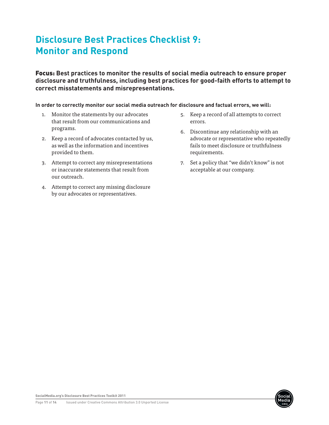## **Disclosure Best Practices Checklist 9: Monitor and Respond**

Focus: **Best practices to monitor the results of social media outreach to ensure proper disclosure and truthfulness, including best practices for good-faith efforts to attempt to correct misstatements and misrepresentations.**

**In order to correctly monitor our social media outreach for disclosure and factual errors, we will:**

- 1. Monitor the statements by our advocates that result from our communications and programs.
- 2. Keep a record of advocates contacted by us, as well as the information and incentives provided to them.
- 3. Attempt to correct any misrepresentations or inaccurate statements that result from our outreach.
- 4. Attempt to correct any missing disclosure by our advocates or representatives.
- 5. Keep a record of all attempts to correct errors.
- 6. Discontinue any relationship with an advocate or representative who repeatedly fails to meet disclosure or truthfulness requirements.
- 7. Set a policy that "we didn't know" is not acceptable at our company.

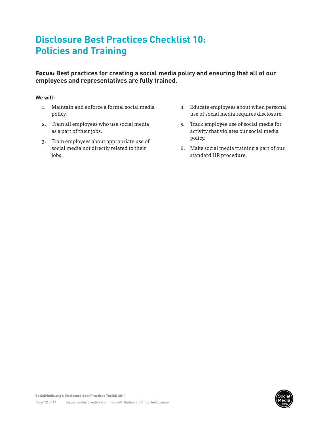## **Disclosure Best Practices Checklist 10: Policies and Training**

### Focus: **Best practices for creating a social media policy and ensuring that all of our employees and representatives are fully trained.**

#### **We will:**

- 1. Maintain and enforce a formal social media policy.
- 2. Train all employees who use social media as a part of their jobs.
- 3. Train employees about appropriate use of social media not directly related to their jobs.
- 4. Educate employees about when personal use of social media requires disclosure.
- 5. Track employee use of social media for activity that violates our social media policy.
- 6. Make social media training a part of our standard HR procedure.

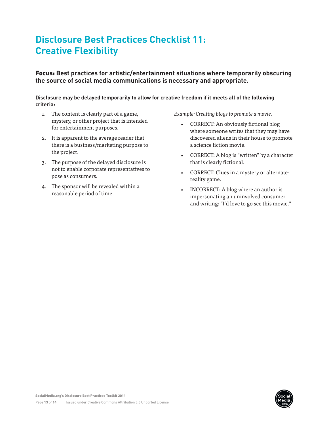## **Disclosure Best Practices Checklist 11: Creative Flexibility**

Focus: **Best practices for artistic/entertainment situations where temporarily obscuring the source of social media communications is necessary and appropriate.**

#### **Disclosure may be delayed temporarily to allow for creative freedom if it meets all of the following criteria:**

- 1. The content is clearly part of a game, mystery, or other project that is intended for entertainment purposes.
- 2. It is apparent to the average reader that there is a business/marketing purpose to the project.
- 3. The purpose of the delayed disclosure is not to enable corporate representatives to pose as consumers.
- 4. The sponsor will be revealed within a reasonable period of time.

*Example: Creating blogs to promote a movie.*

- CORRECT: An obviously fictional blog where someone writes that they may have discovered aliens in their house to promote a science fiction movie.
- • CORRECT: A blog is "written" by a character that is clearly fictional.
- • CORRECT: Clues in a mystery or alternatereality game.
- INCORRECT: A blog where an author is impersonating an uninvolved consumer and writing: "I'd love to go see this movie."